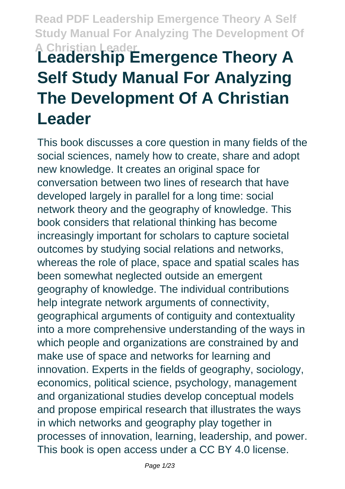## **Read PDF Leadership Emergence Theory A Self Study Manual For Analyzing The Development Of A Christian Leader Leadership Emergence Theory A Self Study Manual For Analyzing**

# **The Development Of A Christian Leader**

This book discusses a core question in many fields of the social sciences, namely how to create, share and adopt new knowledge. It creates an original space for conversation between two lines of research that have developed largely in parallel for a long time: social network theory and the geography of knowledge. This book considers that relational thinking has become increasingly important for scholars to capture societal outcomes by studying social relations and networks, whereas the role of place, space and spatial scales has been somewhat neglected outside an emergent geography of knowledge. The individual contributions help integrate network arguments of connectivity, geographical arguments of contiguity and contextuality into a more comprehensive understanding of the ways in which people and organizations are constrained by and make use of space and networks for learning and innovation. Experts in the fields of geography, sociology, economics, political science, psychology, management and organizational studies develop conceptual models and propose empirical research that illustrates the ways in which networks and geography play together in processes of innovation, learning, leadership, and power. This book is open access under a CC BY 4.0 license.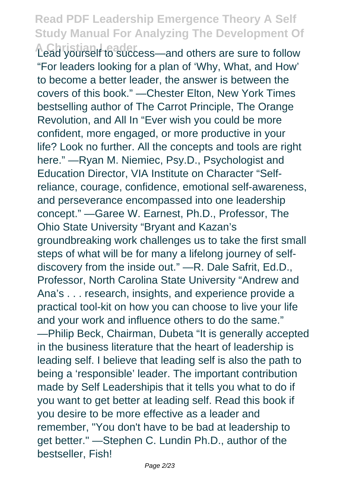**A Christian Leader** Lead yourself to success—and others are sure to follow "For leaders looking for a plan of 'Why, What, and How' to become a better leader, the answer is between the covers of this book." —Chester Elton, New York Times bestselling author of The Carrot Principle, The Orange Revolution, and All In "Ever wish you could be more confident, more engaged, or more productive in your life? Look no further. All the concepts and tools are right here." —Ryan M. Niemiec, Psy.D., Psychologist and Education Director, VIA Institute on Character "Selfreliance, courage, confidence, emotional self-awareness, and perseverance encompassed into one leadership concept." —Garee W. Earnest, Ph.D., Professor, The Ohio State University "Bryant and Kazan's groundbreaking work challenges us to take the first small steps of what will be for many a lifelong journey of selfdiscovery from the inside out." —R. Dale Safrit, Ed.D., Professor, North Carolina State University "Andrew and Ana's . . . research, insights, and experience provide a practical tool-kit on how you can choose to live your life and your work and influence others to do the same." —Philip Beck, Chairman, Dubeta "It is generally accepted in the business literature that the heart of leadership is leading self. I believe that leading self is also the path to being a 'responsible' leader. The important contribution made by Self Leadershipis that it tells you what to do if you want to get better at leading self. Read this book if you desire to be more effective as a leader and remember, "You don't have to be bad at leadership to get better." —Stephen C. Lundin Ph.D., author of the bestseller, Fish!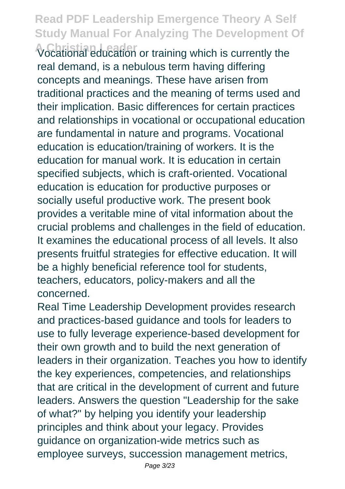**A Christian Leader** Vocational education or training which is currently the real demand, is a nebulous term having differing concepts and meanings. These have arisen from traditional practices and the meaning of terms used and their implication. Basic differences for certain practices and relationships in vocational or occupational education are fundamental in nature and programs. Vocational education is education/training of workers. It is the education for manual work. It is education in certain specified subjects, which is craft-oriented. Vocational education is education for productive purposes or socially useful productive work. The present book provides a veritable mine of vital information about the crucial problems and challenges in the field of education. It examines the educational process of all levels. It also presents fruitful strategies for effective education. It will be a highly beneficial reference tool for students, teachers, educators, policy-makers and all the concerned.

Real Time Leadership Development provides research and practices-based guidance and tools for leaders to use to fully leverage experience-based development for their own growth and to build the next generation of leaders in their organization. Teaches you how to identify the key experiences, competencies, and relationships that are critical in the development of current and future leaders. Answers the question "Leadership for the sake of what?" by helping you identify your leadership principles and think about your legacy. Provides guidance on organization-wide metrics such as employee surveys, succession management metrics,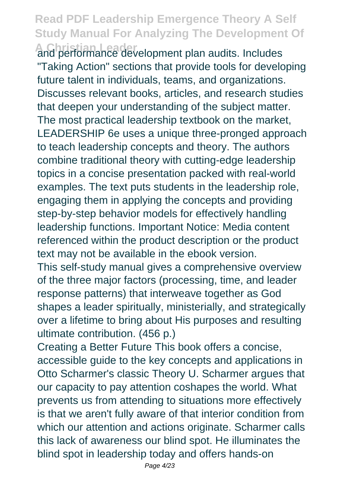**A Christian Leader** and performance development plan audits. Includes "Taking Action" sections that provide tools for developing future talent in individuals, teams, and organizations. Discusses relevant books, articles, and research studies that deepen your understanding of the subject matter. The most practical leadership textbook on the market, LEADERSHIP 6e uses a unique three-pronged approach to teach leadership concepts and theory. The authors combine traditional theory with cutting-edge leadership topics in a concise presentation packed with real-world examples. The text puts students in the leadership role, engaging them in applying the concepts and providing step-by-step behavior models for effectively handling leadership functions. Important Notice: Media content referenced within the product description or the product text may not be available in the ebook version.

This self-study manual gives a comprehensive overview of the three major factors (processing, time, and leader response patterns) that interweave together as God shapes a leader spiritually, ministerially, and strategically over a lifetime to bring about His purposes and resulting ultimate contribution. (456 p.)

Creating a Better Future This book offers a concise, accessible guide to the key concepts and applications in Otto Scharmer's classic Theory U. Scharmer argues that our capacity to pay attention coshapes the world. What prevents us from attending to situations more effectively is that we aren't fully aware of that interior condition from which our attention and actions originate. Scharmer calls this lack of awareness our blind spot. He illuminates the blind spot in leadership today and offers hands-on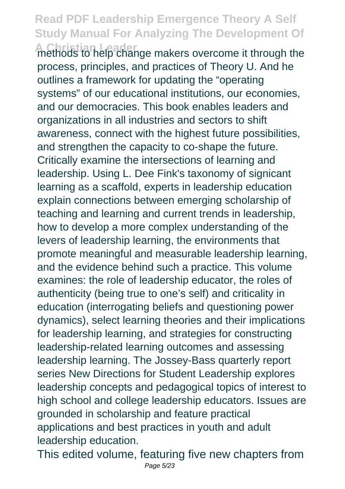**A Christian Leader** methods to help change makers overcome it through the process, principles, and practices of Theory U. And he outlines a framework for updating the "operating systems" of our educational institutions, our economies, and our democracies. This book enables leaders and organizations in all industries and sectors to shift awareness, connect with the highest future possibilities, and strengthen the capacity to co-shape the future. Critically examine the intersections of learning and leadership. Using L. Dee Fink's taxonomy of signicant learning as a scaffold, experts in leadership education explain connections between emerging scholarship of teaching and learning and current trends in leadership, how to develop a more complex understanding of the levers of leadership learning, the environments that promote meaningful and measurable leadership learning, and the evidence behind such a practice. This volume examines: the role of leadership educator, the roles of authenticity (being true to one's self) and criticality in education (interrogating beliefs and questioning power dynamics), select learning theories and their implications for leadership learning, and strategies for constructing leadership-related learning outcomes and assessing leadership learning. The Jossey-Bass quarterly report series New Directions for Student Leadership explores leadership concepts and pedagogical topics of interest to high school and college leadership educators. Issues are grounded in scholarship and feature practical applications and best practices in youth and adult leadership education.

This edited volume, featuring five new chapters from Page 5/23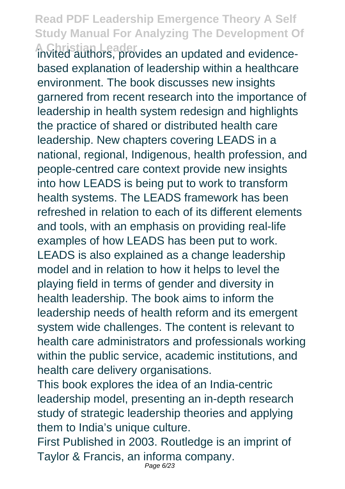**A Christian Leader** invited authors, provides an updated and evidencebased explanation of leadership within a healthcare environment. The book discusses new insights garnered from recent research into the importance of leadership in health system redesign and highlights the practice of shared or distributed health care leadership. New chapters covering LEADS in a national, regional, Indigenous, health profession, and people-centred care context provide new insights into how LEADS is being put to work to transform health systems. The LEADS framework has been refreshed in relation to each of its different elements and tools, with an emphasis on providing real-life examples of how LEADS has been put to work. LEADS is also explained as a change leadership model and in relation to how it helps to level the playing field in terms of gender and diversity in health leadership. The book aims to inform the leadership needs of health reform and its emergent system wide challenges. The content is relevant to health care administrators and professionals working within the public service, academic institutions, and health care delivery organisations.

This book explores the idea of an India-centric leadership model, presenting an in-depth research study of strategic leadership theories and applying them to India's unique culture.

First Published in 2003. Routledge is an imprint of Taylor & Francis, an informa company. Page 6/23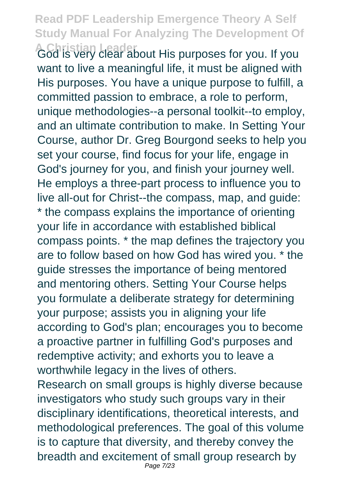**A Christian Leader** Gout His purposes for you. If you want to live a meaningful life, it must be aligned with His purposes. You have a unique purpose to fulfill, a committed passion to embrace, a role to perform, unique methodologies--a personal toolkit--to employ, and an ultimate contribution to make. In Setting Your Course, author Dr. Greg Bourgond seeks to help you set your course, find focus for your life, engage in God's journey for you, and finish your journey well. He employs a three-part process to influence you to live all-out for Christ--the compass, map, and guide: \* the compass explains the importance of orienting your life in accordance with established biblical compass points. \* the map defines the trajectory you are to follow based on how God has wired you. \* the guide stresses the importance of being mentored and mentoring others. Setting Your Course helps you formulate a deliberate strategy for determining your purpose; assists you in aligning your life according to God's plan; encourages you to become a proactive partner in fulfilling God's purposes and redemptive activity; and exhorts you to leave a worthwhile legacy in the lives of others. Research on small groups is highly diverse because investigators who study such groups vary in their disciplinary identifications, theoretical interests, and methodological preferences. The goal of this volume is to capture that diversity, and thereby convey the breadth and excitement of small group research by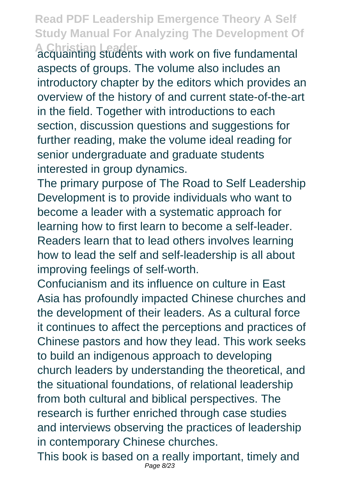**A Christian Leader** acquainting students with work on five fundamental aspects of groups. The volume also includes an introductory chapter by the editors which provides an overview of the history of and current state-of-the-art in the field. Together with introductions to each section, discussion questions and suggestions for further reading, make the volume ideal reading for senior undergraduate and graduate students interested in group dynamics.

The primary purpose of The Road to Self Leadership Development is to provide individuals who want to become a leader with a systematic approach for learning how to first learn to become a self-leader. Readers learn that to lead others involves learning how to lead the self and self-leadership is all about improving feelings of self-worth.

Confucianism and its influence on culture in East Asia has profoundly impacted Chinese churches and the development of their leaders. As a cultural force it continues to affect the perceptions and practices of Chinese pastors and how they lead. This work seeks to build an indigenous approach to developing church leaders by understanding the theoretical, and the situational foundations, of relational leadership from both cultural and biblical perspectives. The research is further enriched through case studies and interviews observing the practices of leadership in contemporary Chinese churches.

This book is based on a really important, timely and Page 8/23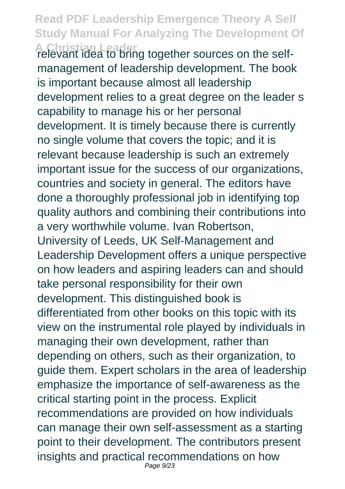**A Christian Leader** relevant idea to bring together sources on the selfmanagement of leadership development. The book is important because almost all leadership development relies to a great degree on the leader s capability to manage his or her personal development. It is timely because there is currently no single volume that covers the topic; and it is relevant because leadership is such an extremely important issue for the success of our organizations, countries and society in general. The editors have done a thoroughly professional job in identifying top quality authors and combining their contributions into a very worthwhile volume. Ivan Robertson, University of Leeds, UK Self-Management and Leadership Development offers a unique perspective on how leaders and aspiring leaders can and should take personal responsibility for their own development. This distinguished book is differentiated from other books on this topic with its view on the instrumental role played by individuals in managing their own development, rather than depending on others, such as their organization, to guide them. Expert scholars in the area of leadership emphasize the importance of self-awareness as the critical starting point in the process. Explicit recommendations are provided on how individuals can manage their own self-assessment as a starting point to their development. The contributors present insights and practical recommendations on how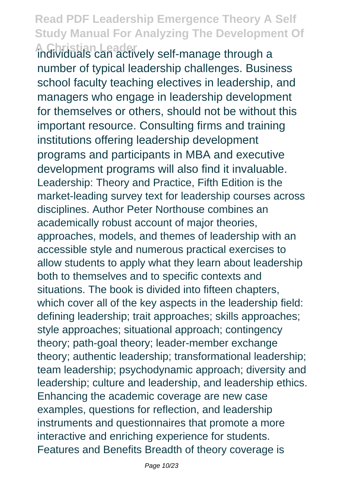**A Christian Leader** individuals can actively self-manage through a number of typical leadership challenges. Business school faculty teaching electives in leadership, and managers who engage in leadership development for themselves or others, should not be without this important resource. Consulting firms and training institutions offering leadership development programs and participants in MBA and executive development programs will also find it invaluable. Leadership: Theory and Practice, Fifth Edition is the market-leading survey text for leadership courses across disciplines. Author Peter Northouse combines an academically robust account of major theories, approaches, models, and themes of leadership with an accessible style and numerous practical exercises to allow students to apply what they learn about leadership both to themselves and to specific contexts and situations. The book is divided into fifteen chapters, which cover all of the key aspects in the leadership field: defining leadership; trait approaches; skills approaches; style approaches; situational approach; contingency theory; path-goal theory; leader-member exchange theory; authentic leadership; transformational leadership; team leadership; psychodynamic approach; diversity and leadership; culture and leadership, and leadership ethics. Enhancing the academic coverage are new case examples, questions for reflection, and leadership instruments and questionnaires that promote a more interactive and enriching experience for students. Features and Benefits Breadth of theory coverage is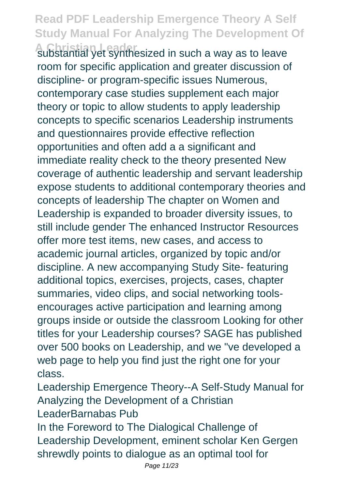**A Christian Leader** substantial yet synthesized in such a way as to leave room for specific application and greater discussion of discipline- or program-specific issues Numerous, contemporary case studies supplement each major theory or topic to allow students to apply leadership concepts to specific scenarios Leadership instruments and questionnaires provide effective reflection opportunities and often add a a significant and immediate reality check to the theory presented New coverage of authentic leadership and servant leadership expose students to additional contemporary theories and concepts of leadership The chapter on Women and Leadership is expanded to broader diversity issues, to still include gender The enhanced Instructor Resources offer more test items, new cases, and access to academic journal articles, organized by topic and/or discipline. A new accompanying Study Site- featuring additional topics, exercises, projects, cases, chapter summaries, video clips, and social networking toolsencourages active participation and learning among groups inside or outside the classroom Looking for other titles for your Leadership courses? SAGE has published over 500 books on Leadership, and we "ve developed a web page to help you find just the right one for your class.

Leadership Emergence Theory--A Self-Study Manual for Analyzing the Development of a Christian LeaderBarnabas Pub

In the Foreword to The Dialogical Challenge of Leadership Development, eminent scholar Ken Gergen shrewdly points to dialogue as an optimal tool for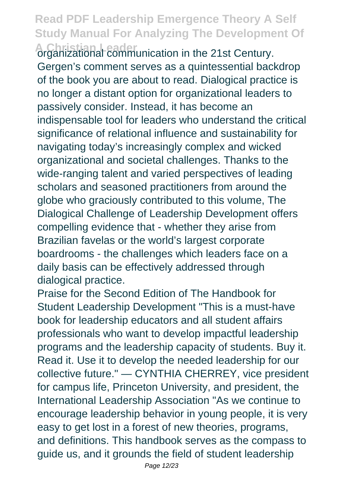**A Christian Leader** organizational communication in the 21st Century. Gergen's comment serves as a quintessential backdrop of the book you are about to read. Dialogical practice is no longer a distant option for organizational leaders to passively consider. Instead, it has become an indispensable tool for leaders who understand the critical significance of relational influence and sustainability for navigating today's increasingly complex and wicked organizational and societal challenges. Thanks to the wide-ranging talent and varied perspectives of leading scholars and seasoned practitioners from around the globe who graciously contributed to this volume, The Dialogical Challenge of Leadership Development offers compelling evidence that - whether they arise from Brazilian favelas or the world's largest corporate boardrooms - the challenges which leaders face on a daily basis can be effectively addressed through dialogical practice.

Praise for the Second Edition of The Handbook for Student Leadership Development "This is a must-have book for leadership educators and all student affairs professionals who want to develop impactful leadership programs and the leadership capacity of students. Buy it. Read it. Use it to develop the needed leadership for our collective future." — CYNTHIA CHERREY, vice president for campus life, Princeton University, and president, the International Leadership Association "As we continue to encourage leadership behavior in young people, it is very easy to get lost in a forest of new theories, programs, and definitions. This handbook serves as the compass to guide us, and it grounds the field of student leadership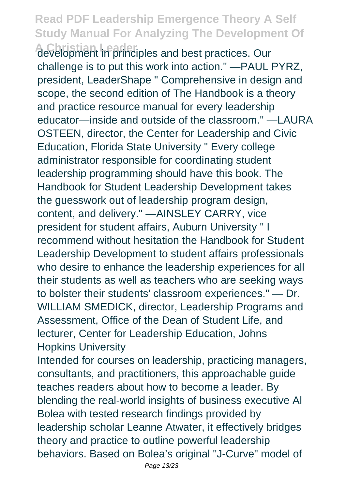**A Christian Leader** development in principles and best practices. Our challenge is to put this work into action." —PAUL PYRZ, president, LeaderShape " Comprehensive in design and scope, the second edition of The Handbook is a theory and practice resource manual for every leadership educator—inside and outside of the classroom." —LAURA OSTEEN, director, the Center for Leadership and Civic Education, Florida State University " Every college administrator responsible for coordinating student leadership programming should have this book. The Handbook for Student Leadership Development takes the guesswork out of leadership program design, content, and delivery." —AINSLEY CARRY, vice president for student affairs, Auburn University " I recommend without hesitation the Handbook for Student Leadership Development to student affairs professionals who desire to enhance the leadership experiences for all their students as well as teachers who are seeking ways to bolster their students' classroom experiences." — Dr. WILLIAM SMEDICK, director, Leadership Programs and Assessment, Office of the Dean of Student Life, and lecturer, Center for Leadership Education, Johns Hopkins University

Intended for courses on leadership, practicing managers, consultants, and practitioners, this approachable guide teaches readers about how to become a leader. By blending the real-world insights of business executive Al Bolea with tested research findings provided by leadership scholar Leanne Atwater, it effectively bridges theory and practice to outline powerful leadership behaviors. Based on Bolea's original "J-Curve" model of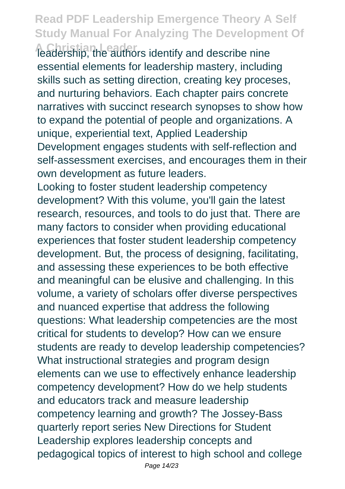**A Christian Leader** leadership, the authors identify and describe nine essential elements for leadership mastery, including skills such as setting direction, creating key proceses, and nurturing behaviors. Each chapter pairs concrete narratives with succinct research synopses to show how to expand the potential of people and organizations. A unique, experiential text, Applied Leadership Development engages students with self-reflection and self-assessment exercises, and encourages them in their own development as future leaders.

Looking to foster student leadership competency development? With this volume, you'll gain the latest research, resources, and tools to do just that. There are many factors to consider when providing educational experiences that foster student leadership competency development. But, the process of designing, facilitating, and assessing these experiences to be both effective and meaningful can be elusive and challenging. In this volume, a variety of scholars offer diverse perspectives and nuanced expertise that address the following questions: What leadership competencies are the most critical for students to develop? How can we ensure students are ready to develop leadership competencies? What instructional strategies and program design elements can we use to effectively enhance leadership competency development? How do we help students and educators track and measure leadership competency learning and growth? The Jossey-Bass quarterly report series New Directions for Student Leadership explores leadership concepts and pedagogical topics of interest to high school and college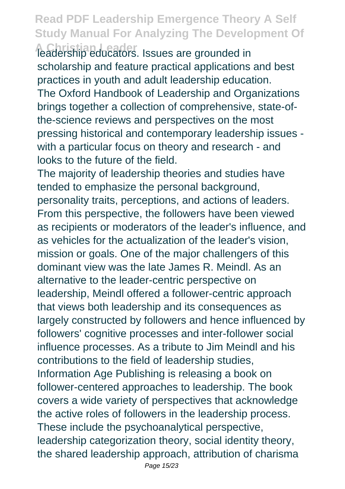**A Christian Leader** leadership educators. Issues are grounded in scholarship and feature practical applications and best practices in youth and adult leadership education. The Oxford Handbook of Leadership and Organizations brings together a collection of comprehensive, state-ofthe-science reviews and perspectives on the most pressing historical and contemporary leadership issues with a particular focus on theory and research - and looks to the future of the field.

The majority of leadership theories and studies have tended to emphasize the personal background. personality traits, perceptions, and actions of leaders. From this perspective, the followers have been viewed as recipients or moderators of the leader's influence, and as vehicles for the actualization of the leader's vision, mission or goals. One of the major challengers of this dominant view was the late James R. Meindl. As an alternative to the leader-centric perspective on leadership, Meindl offered a follower-centric approach that views both leadership and its consequences as largely constructed by followers and hence influenced by followers' cognitive processes and inter-follower social influence processes. As a tribute to Jim Meindl and his contributions to the field of leadership studies, Information Age Publishing is releasing a book on follower-centered approaches to leadership. The book covers a wide variety of perspectives that acknowledge the active roles of followers in the leadership process. These include the psychoanalytical perspective, leadership categorization theory, social identity theory, the shared leadership approach, attribution of charisma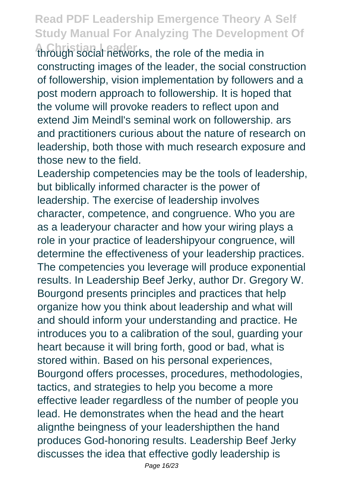**A Christian Leader** through social networks, the role of the media in constructing images of the leader, the social construction of followership, vision implementation by followers and a post modern approach to followership. It is hoped that the volume will provoke readers to reflect upon and extend Jim Meindl's seminal work on followership. ars and practitioners curious about the nature of research on leadership, both those with much research exposure and those new to the field.

Leadership competencies may be the tools of leadership, but biblically informed character is the power of leadership. The exercise of leadership involves character, competence, and congruence. Who you are as a leaderyour character and how your wiring plays a role in your practice of leadershipyour congruence, will determine the effectiveness of your leadership practices. The competencies you leverage will produce exponential results. In Leadership Beef Jerky, author Dr. Gregory W. Bourgond presents principles and practices that help organize how you think about leadership and what will and should inform your understanding and practice. He introduces you to a calibration of the soul, guarding your heart because it will bring forth, good or bad, what is stored within. Based on his personal experiences, Bourgond offers processes, procedures, methodologies, tactics, and strategies to help you become a more effective leader regardless of the number of people you lead. He demonstrates when the head and the heart alignthe beingness of your leadershipthen the hand produces God-honoring results. Leadership Beef Jerky discusses the idea that effective godly leadership is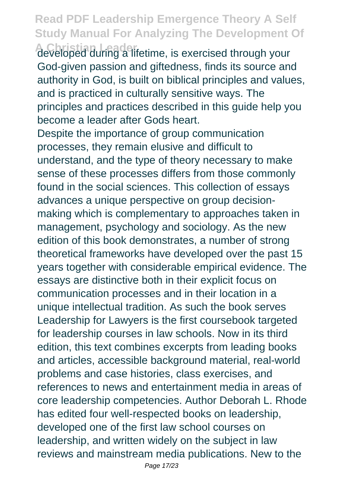A Christian Leader<br>developed during a lifetime, is exercised through your God-given passion and giftedness, finds its source and authority in God, is built on biblical principles and values, and is practiced in culturally sensitive ways. The principles and practices described in this guide help you become a leader after Gods heart.

Despite the importance of group communication processes, they remain elusive and difficult to understand, and the type of theory necessary to make sense of these processes differs from those commonly found in the social sciences. This collection of essays advances a unique perspective on group decisionmaking which is complementary to approaches taken in management, psychology and sociology. As the new edition of this book demonstrates, a number of strong theoretical frameworks have developed over the past 15 years together with considerable empirical evidence. The essays are distinctive both in their explicit focus on communication processes and in their location in a unique intellectual tradition. As such the book serves Leadership for Lawyers is the first coursebook targeted for leadership courses in law schools. Now in its third edition, this text combines excerpts from leading books and articles, accessible background material, real-world problems and case histories, class exercises, and references to news and entertainment media in areas of core leadership competencies. Author Deborah L. Rhode has edited four well-respected books on leadership, developed one of the first law school courses on leadership, and written widely on the subject in law reviews and mainstream media publications. New to the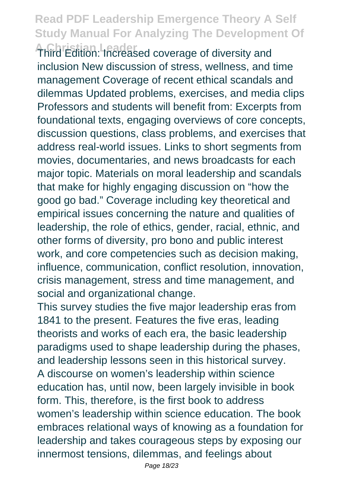**A Christian Leader** Third Edition: Increased coverage of diversity and inclusion New discussion of stress, wellness, and time management Coverage of recent ethical scandals and dilemmas Updated problems, exercises, and media clips Professors and students will benefit from: Excerpts from foundational texts, engaging overviews of core concepts, discussion questions, class problems, and exercises that address real-world issues. Links to short segments from movies, documentaries, and news broadcasts for each major topic. Materials on moral leadership and scandals that make for highly engaging discussion on "how the good go bad." Coverage including key theoretical and empirical issues concerning the nature and qualities of leadership, the role of ethics, gender, racial, ethnic, and other forms of diversity, pro bono and public interest work, and core competencies such as decision making, influence, communication, conflict resolution, innovation, crisis management, stress and time management, and social and organizational change.

This survey studies the five major leadership eras from 1841 to the present. Features the five eras, leading theorists and works of each era, the basic leadership paradigms used to shape leadership during the phases, and leadership lessons seen in this historical survey. A discourse on women's leadership within science education has, until now, been largely invisible in book form. This, therefore, is the first book to address women's leadership within science education. The book embraces relational ways of knowing as a foundation for leadership and takes courageous steps by exposing our innermost tensions, dilemmas, and feelings about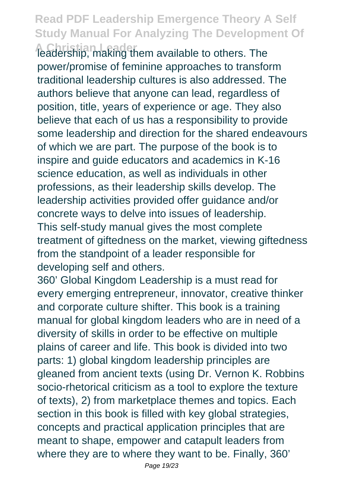**A Christian Leader** leadership, making them available to others. The power/promise of feminine approaches to transform traditional leadership cultures is also addressed. The authors believe that anyone can lead, regardless of position, title, years of experience or age. They also believe that each of us has a responsibility to provide some leadership and direction for the shared endeavours of which we are part. The purpose of the book is to inspire and guide educators and academics in K-16 science education, as well as individuals in other professions, as their leadership skills develop. The leadership activities provided offer guidance and/or concrete ways to delve into issues of leadership. This self-study manual gives the most complete treatment of giftedness on the market, viewing giftedness from the standpoint of a leader responsible for developing self and others.

360' Global Kingdom Leadership is a must read for every emerging entrepreneur, innovator, creative thinker and corporate culture shifter. This book is a training manual for global kingdom leaders who are in need of a diversity of skills in order to be effective on multiple plains of career and life. This book is divided into two parts: 1) global kingdom leadership principles are gleaned from ancient texts (using Dr. Vernon K. Robbins socio-rhetorical criticism as a tool to explore the texture of texts), 2) from marketplace themes and topics. Each section in this book is filled with key global strategies, concepts and practical application principles that are meant to shape, empower and catapult leaders from where they are to where they want to be. Finally, 360'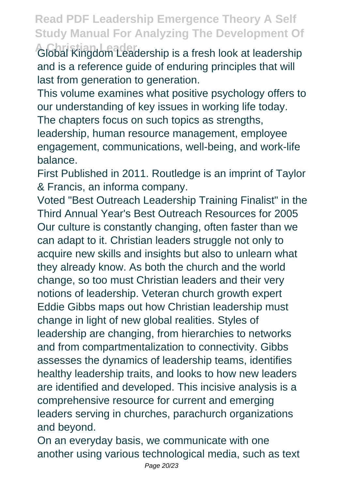**A Christian Leader** Global Kingdom Leadership is a fresh look at leadership and is a reference guide of enduring principles that will last from generation to generation.

This volume examines what positive psychology offers to our understanding of key issues in working life today. The chapters focus on such topics as strengths, leadership, human resource management, employee engagement, communications, well-being, and work-life balance.

First Published in 2011. Routledge is an imprint of Taylor & Francis, an informa company.

Voted "Best Outreach Leadership Training Finalist" in the Third Annual Year's Best Outreach Resources for 2005 Our culture is constantly changing, often faster than we can adapt to it. Christian leaders struggle not only to acquire new skills and insights but also to unlearn what they already know. As both the church and the world change, so too must Christian leaders and their very notions of leadership. Veteran church growth expert Eddie Gibbs maps out how Christian leadership must change in light of new global realities. Styles of leadership are changing, from hierarchies to networks and from compartmentalization to connectivity. Gibbs assesses the dynamics of leadership teams, identifies healthy leadership traits, and looks to how new leaders are identified and developed. This incisive analysis is a comprehensive resource for current and emerging leaders serving in churches, parachurch organizations and beyond.

On an everyday basis, we communicate with one another using various technological media, such as text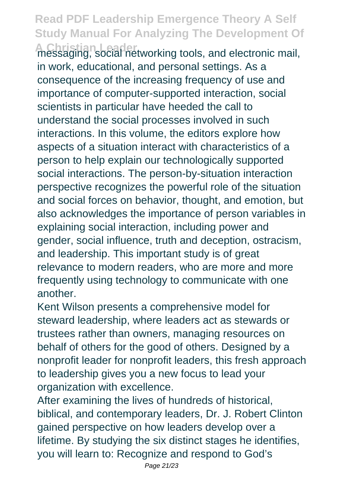**A Christian Leader** messaging, social networking tools, and electronic mail, in work, educational, and personal settings. As a consequence of the increasing frequency of use and importance of computer-supported interaction, social scientists in particular have heeded the call to understand the social processes involved in such interactions. In this volume, the editors explore how aspects of a situation interact with characteristics of a person to help explain our technologically supported social interactions. The person-by-situation interaction perspective recognizes the powerful role of the situation and social forces on behavior, thought, and emotion, but also acknowledges the importance of person variables in explaining social interaction, including power and gender, social influence, truth and deception, ostracism, and leadership. This important study is of great relevance to modern readers, who are more and more frequently using technology to communicate with one another.

Kent Wilson presents a comprehensive model for steward leadership, where leaders act as stewards or trustees rather than owners, managing resources on behalf of others for the good of others. Designed by a nonprofit leader for nonprofit leaders, this fresh approach to leadership gives you a new focus to lead your organization with excellence.

After examining the lives of hundreds of historical, biblical, and contemporary leaders, Dr. J. Robert Clinton gained perspective on how leaders develop over a lifetime. By studying the six distinct stages he identifies, you will learn to: Recognize and respond to God's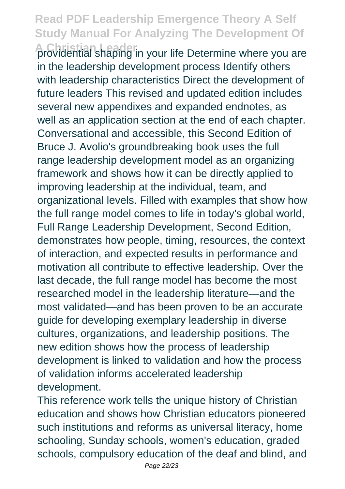**A Christian Leader** providential shaping in your life Determine where you are in the leadership development process Identify others with leadership characteristics Direct the development of future leaders This revised and updated edition includes several new appendixes and expanded endnotes, as well as an application section at the end of each chapter. Conversational and accessible, this Second Edition of Bruce J. Avolio's groundbreaking book uses the full range leadership development model as an organizing framework and shows how it can be directly applied to improving leadership at the individual, team, and organizational levels. Filled with examples that show how the full range model comes to life in today's global world, Full Range Leadership Development, Second Edition, demonstrates how people, timing, resources, the context of interaction, and expected results in performance and motivation all contribute to effective leadership. Over the last decade, the full range model has become the most researched model in the leadership literature—and the most validated—and has been proven to be an accurate guide for developing exemplary leadership in diverse cultures, organizations, and leadership positions. The new edition shows how the process of leadership development is linked to validation and how the process of validation informs accelerated leadership development.

This reference work tells the unique history of Christian education and shows how Christian educators pioneered such institutions and reforms as universal literacy, home schooling, Sunday schools, women's education, graded schools, compulsory education of the deaf and blind, and